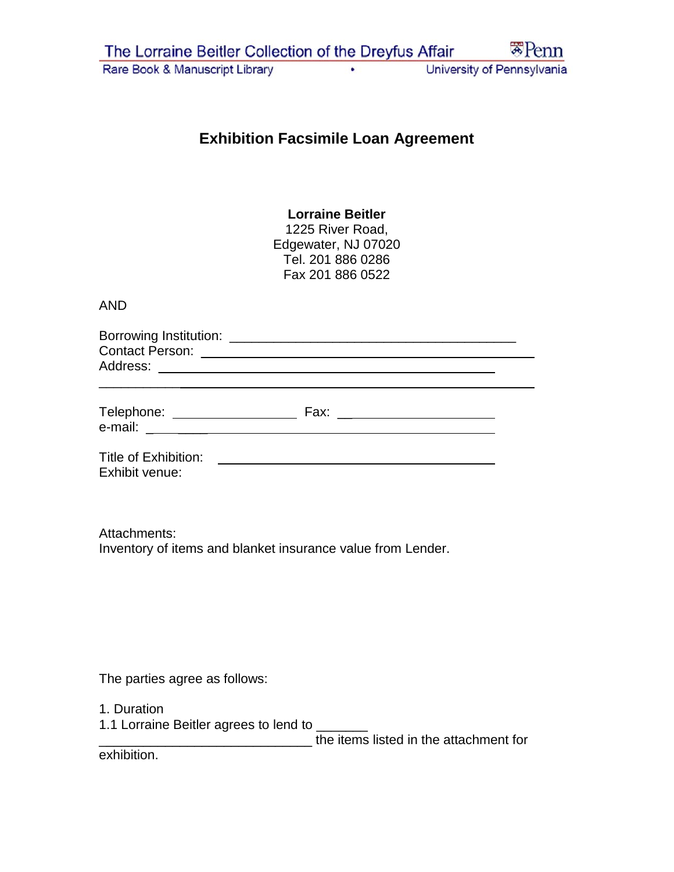## **Exhibition Facsimile Loan Agreement**

## **Lorraine Beitler**

1225 River Road, Edgewater, NJ 07020 Tel. 201 886 0286 Fax 201 886 0522

## AND

| Borrowing Institution: |  |
|------------------------|--|
| <b>Contact Person:</b> |  |
| Address:               |  |
|                        |  |

| Telephone: | -ах: |
|------------|------|
| e-mail:    |      |
|            |      |

Title of Exhibition: Exhibit venue:

Attachments: Inventory of items and blanket insurance value from Lender.

The parties agree as follows:

1. Duration

1.1 Lorraine Beitler agrees to lend to \_\_\_\_\_\_\_

\_\_\_\_\_\_\_\_\_\_\_\_\_\_\_\_\_\_\_\_\_\_\_\_\_\_\_\_\_ the items listed in the attachment for

exhibition.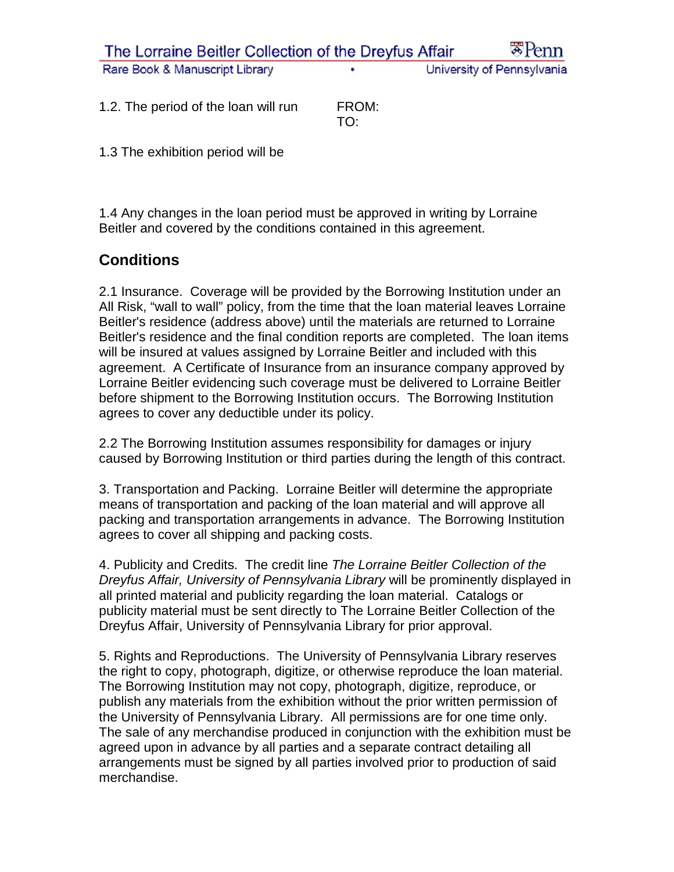| The Lorraine Beitler Collection of the Dreyfus Affair |   | $\mathbb{Z}$ Penn          |
|-------------------------------------------------------|---|----------------------------|
| Rare Book & Manuscript Library                        | ٠ | University of Pennsylvania |

1.2. The period of the loan will run FROM: TO:

1.3 The exhibition period will be

1.4 Any changes in the loan period must be approved in writing by Lorraine Beitler and covered by the conditions contained in this agreement.

## **Conditions**

2.1 Insurance. Coverage will be provided by the Borrowing Institution under an All Risk, "wall to wall" policy, from the time that the loan material leaves Lorraine Beitler's residence (address above) until the materials are returned to Lorraine Beitler's residence and the final condition reports are completed. The loan items will be insured at values assigned by Lorraine Beitler and included with this agreement. A Certificate of Insurance from an insurance company approved by Lorraine Beitler evidencing such coverage must be delivered to Lorraine Beitler before shipment to the Borrowing Institution occurs. The Borrowing Institution agrees to cover any deductible under its policy.

2.2 The Borrowing Institution assumes responsibility for damages or injury caused by Borrowing Institution or third parties during the length of this contract.

3. Transportation and Packing. Lorraine Beitler will determine the appropriate means of transportation and packing of the loan material and will approve all packing and transportation arrangements in advance. The Borrowing Institution agrees to cover all shipping and packing costs.

4. Publicity and Credits. The credit line *The Lorraine Beitler Collection of the Dreyfus Affair, University of Pennsylvania Library* will be prominently displayed in all printed material and publicity regarding the loan material. Catalogs or publicity material must be sent directly to The Lorraine Beitler Collection of the Dreyfus Affair, University of Pennsylvania Library for prior approval.

5. Rights and Reproductions. The University of Pennsylvania Library reserves the right to copy, photograph, digitize, or otherwise reproduce the loan material. The Borrowing Institution may not copy, photograph, digitize, reproduce, or publish any materials from the exhibition without the prior written permission of the University of Pennsylvania Library. All permissions are for one time only. The sale of any merchandise produced in conjunction with the exhibition must be agreed upon in advance by all parties and a separate contract detailing all arrangements must be signed by all parties involved prior to production of said merchandise.